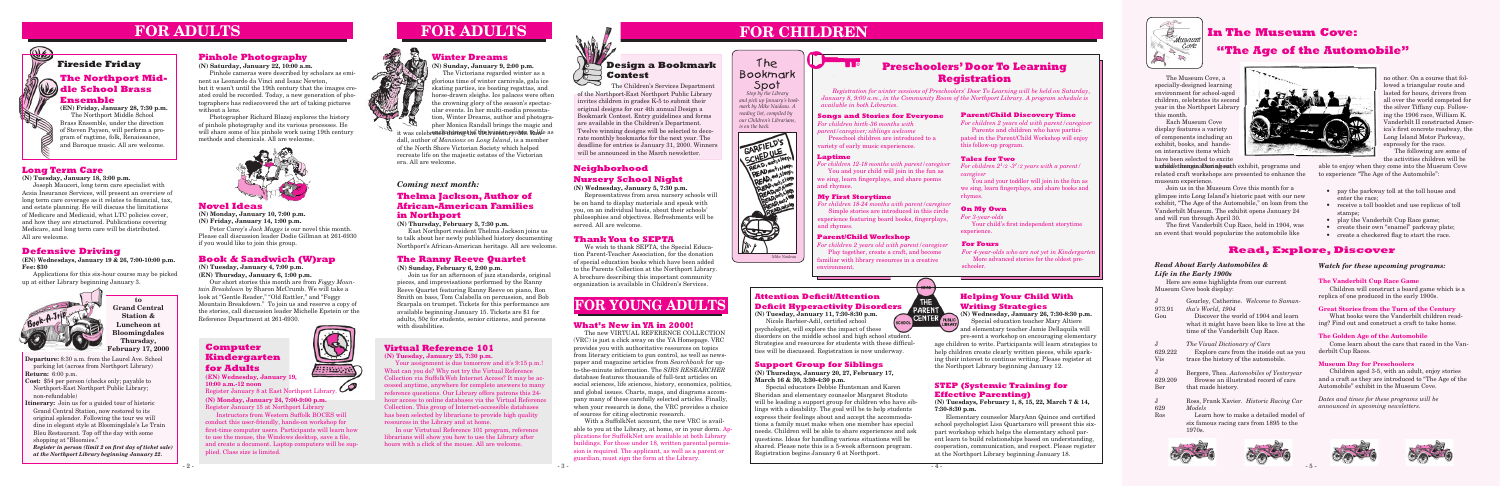**Departure:** 8:30 a.m. from the Laurel Ave. School parking lot (across from Northport Library) **Return:** 6:00 p.m.

- **Cost:** \$54 per person (checks only; payable to Northport-East Northport Public Library; non-refundable)
- **Itinerary:** Join us for a guided tour of historic Grand Central Station, now restored to its original splendor. Following the tour we will dine in elegant style at Bloomingdale's Le Train Bleu Restaurant. Top off the day with some shopping at "Bloomies."

*Register in person (limit 2 on first day of ticket sale) at the Northport Library beginning January 22.*

## **FOR ADULTS**





## **FOR CHILDREN**

## **Attention Deficit/Attention Deficit Hyperactivity Disorders**<br>(N) Tuesday, January 11, 7:30-8:30 p.m.<br>Nicola Barbier-Adil. certified school (SCHOOL CENTER PUBLIC)

### **Support Group for Siblings**

**(N) Thursdays, January 20, 27, February 17, March 16 & 30, 3:30-4:30 p.m.**

Special educators Debbie Huntsman and Karen Sheridan and elementary counselor Margaret Stoduto will be leading a support group for children who have siblings with a disability. The goal will be to help students express their feelings about and accept the accommodations a family must make when one member has special needs. Children will be able to share experiences and ask questions. Ideas for handling various situations will be shared. Please note this is a 5-week afternoon program. Registration begins January 6 at Northport.



 $HOME$ 

**(N) Tuesday, January 11, 7:30-8:30 p.m.** Nicole Barbier-Adil, certified school

psychologist, will explore the impact of these disorders on the middle school and high school student. Strategies and resources for students with these difficulties will be discussed. Registration is now underway.

## **Defensive Driving**

**(EN) Wednesdays, January 19 & 26, 7:00-10:00 p.m. Fee: \$30**

Applications for this six-hour course may be picked up at either Library beginning January 3.

### **Novel Ideas**

**(N) Monday, January 10, 7:00 p.m. (N) Friday, January 14, 1:00 p.m.**

Peter Carey's *Jack Maggs* is our novel this month. Please call discussion leader Dodie Gillman at 261-6930 if you would like to join this group.

*Brian Powers reading list, compiled by Stop by the Library and pick up January's bookmark by Mike Naideau. A our Children's Librarians, is on the back.*

## The Bookmark Spot



**to Grand Central Station & Luncheon at Bloomingdales Thursday, February 17, 2000**

### **STEP (Systemic Training for Effective Parenting)**

**(N) Tuesdays, February 1, 8, 15, 22, March 7 & 14, 7:30-8:30 p.m.**

 Elementary counselor MaryAnn Quince and certified school psychologist Lisa Quartararo will present this sixpart workshop which helps the elementary school parent learn to build relationships based on understanding, cooperation, communication, and respect. Please register at the Northport Library beginning January 18.



Your assignment is due tomorrow and it's 9:15 p.m.! What can you do? Why not try the Virtual Reference Collection via SuffolkWeb Internet Access? It may be accessed anytime, anywhere for complete answers to many reference questions. Our Library offers patrons this 24 hour access to online databases via the Virtual Reference Collection. This group of Internet-accessible databases has been selected by librarians to provide high quality resources in the Library and at home.

### **Helping Your Child With Writing Strategies**

**(N) Wednesday, January 26, 7:30-8:30 p.m.** Special education teacher Mary Altiere and elementary teacher Jamie Dellaquila will pre-sent a workshop on encouraging elementary

## **The Northport Middle School Brass Ensemble Fireside Friday**

**(EN) Friday, January 28, 7:30 p.m.** The Northport Middle School Brass Ensemble, under the direction of Steven Paysen, will perform a program of ragtime, folk, Renaissance, and Baroque music. All are welcome.

## **FOR YOUNG ADULTS**

## **Neighborhood Nursery School Night**

**(N) Wednesday, January 5, 7:30 p.m.**

Representatives from area nursery schools will be on hand to display materials and speak with you, on an individual basis, about their schools' philosophies and objectives. Refreshments will be served. All are welcome.

- pay the parkway toll at the toll house and enter the race;
- receive a toll booklet and use replicas of toll stamps;
- play the Vanderbilt Cup Race game;
- create their own "enamel" parkway plate;
- create a checkered flag to start the race.

age children to write. Participants will learn strategies to help children create clearly written pieces, while sparking their interest to continue writing. Please register at the Northport Library beginning January 12.

aahidd's the ngis albion about hexhibit, programs and related craft workshops are presented to enhance the museum experience.

## **Thelma Jackson, Author of African-American Families in Northport**

#### **(N) Thursday, February 3, 7:30 p.m.**

East Northport resident Thelma Jackson joins us to talk about her newly published history documenting Northport's African-American heritage. All are welcome.

## **Long Term Care**

**(N) Tuesday, January 18, 3:00 p.m.**

Joseph Mauceri, long term care specialist with Acsia Insurance Services, will present an overview of long term care coverage as it relates to financial, tax, and estate planning. He will discuss the limitations of Medicare and Medicaid, what LTC policies cover, and how they are structured. Publications covering Medicare, and long term care will be distributed. All are welcome.

## **Winter Dreams**

**(N) Sunday, January 9, 2:00 p.m.**

The Victorians regarded winter as a glorious time of winter carnivals, gala ice skating parties, ice boating regattas, and horse-drawn sleighs. Ice palaces were often the crowning glory of the season's spectacular events. In her multi-media presentation, Winter Dreams, author and photographer Monica Randall brings the magic and

## **Virtual Reference 101**

**(N) Tuesday, January 25, 7:30 p.m.**

it was celebr**ened antrnent hé tlut ive ateu syame. R**ahfe as dall, author of *Mansions on Long Island*, is a member of the North Shore Victorian Society which helped recreate life on the majestic estates of the Victorian era. All are welcome.

In our Virtutual Reference 101 program, reference librarians will show you how to use the Library after hours with a click of the mouse. All are welcome.



## **"The Age of the Automobile"**

#### *Read About Early Automobiles & Life in the Early 1900s*

Here are some highlights from our current Museum Cove book display:

| T.<br>973.91<br>Gou | Gourley, Catherine. Welcome to Saman-<br>tha's World, 1904<br>Discover the world of 1904 and learn<br>what it might have been like to live at the<br>time of the Vanderbilt Cup Race. |  |  |  |  |
|---------------------|---------------------------------------------------------------------------------------------------------------------------------------------------------------------------------------|--|--|--|--|
| J.                  | The Visual Dictionary of Cars                                                                                                                                                         |  |  |  |  |
| 629.222             | Explore cars from the inside out as you                                                                                                                                               |  |  |  |  |
| Vis                 | trace the history of the automobile.                                                                                                                                                  |  |  |  |  |
| J.                  | Bergere, Thea. Automobiles of Yesteryear                                                                                                                                              |  |  |  |  |
| 629.209             | Browse an illustrated record of cars                                                                                                                                                  |  |  |  |  |
| Ber                 | that made history.                                                                                                                                                                    |  |  |  |  |
| J.                  | Ross, Frank Xavier. <i>Historic Racing Car</i>                                                                                                                                        |  |  |  |  |
| 629                 | Models                                                                                                                                                                                |  |  |  |  |
| Ros                 | Learn how to make a detailed model of<br>six famous racing cars from 1895 to the<br>1970s.                                                                                            |  |  |  |  |
|                     |                                                                                                                                                                                       |  |  |  |  |

## **Read, Explore, Discover**

The Museum Cove, a specially-designed learning environment for school-aged children, celebrates its second year in the Northport Library this month.

Each Museum Cove display features a variety of components including an exhibit, books, and handson interactive items which have been selected to excite

We wish to thank SEPTA, the Special Education Parent-Teacher Association, for the donation of special education books which have been added to the Parents Collection at the Northport Library. A brochure describing this important community organization is available in Children's Services.

no other. On a course that followed a triangular route and lasted for hours, drivers from all over the world competed for the silver Tiffany cup. Following the 1906 race, William K. Vanderbilt II constructed America's first concrete roadway, the Long Island Motor Parkway, expressly for the race.

The following are some of the activities children will be

Join us in the Museum Cove this month for a glimpse into Long Island's historic past with our new exhibit, "The Age of the Automobile," on loan from the Vanderbilt Museum. The exhibit opens January 24 and will run through April 30.

 The first Vanderbilt Cup Race, held in 1904, was an event that would popularize the automobile like

able to enjoy when they come into the Museum Cove to experience "The Age of the Automobile":

#### *Coming next month:*

#### **What's New in YA in 2000!**

The new VIRTUAL REFERENCE COLLECTION (VRC) is just a click away on the YA Homepage. VRC provides you with authoritative resources on topics from literary criticism to gun control, as well as newspaper and magazine articles from *Searchbank* for upto-the-minute information. The *SIRS RESEARCHER* database features thousands of full-text articles on social sciences, life sciences, history, economics, politics, and global issues. Charts, maps, and diagrams accompany many of these carefully selected articles. Finally, when your research is done, the VRC provides a choice of sources for citing electronic research.

With a SuffolkNet account, the new VRC is available to you at the Library, at home, or in your dorm. Applications for SuffolkNet are available at both Library buildings. For those under 18, written parental permission is required. The applicant, as well as a parent or guardian, must sign the form at the Library.

# **FOR ADULTS**

#### **Songs and Stories for Everyone**

*For children birth-36 months with parent/caregiver; siblings welcome*

Preschool children are introduced to a variety of early music experiences.

#### **Laptime**

*For children 12-18 months with parent/caregiver* You and your child will join in the fun as we sing, learn fingerplays, and share poems and rhymes.

#### **My First Storytime**

*For children 18-24 months with parent/caregiver* Simple stories are introduced in this circle experience featuring board books, fingerplays, and rhymes.

#### **Parent/Child Workshop**

*For children 2 years old with parent/caregiver* Play together, create a craft, and become familiar with library resources in a creative environment.

#### **Parent/Child Discovery Time**

*For children 2 years old with parent/caregiver* Parents and children who have participated in the Parent/Child Workshop will enjoy this follow-up program.

#### **Tales for Two**

*For children 21 /2 -31 /2 years with a parent/ caregiver*

You and your toddler will join in the fun as we sing, learn fingerplays, and share books and rhymes.

## **Preschoolers' Door To Learning Registration**

*Registration for winter sessions of Preschoolers' Door To Learning will be held on Saturday, January 8, 9:00 a.m., in the Community Room of the Northport Library. A program schedule is available in both Libraries.*

#### **On My Own**

*For 3-year-olds*

 Your child's first independent storytime experience.

#### **For Fours**

*For 4-year-olds who are not yet in Kindergarten* More advanced stories for the oldest preschooler.

 The Children's Services Department of the Northport-East Northport Public Library invites children in grades K-5 to submit their original designs for our 4th annual Design a Bookmark Contest. Entry guidelines and forms are available in the Children's Department. Twelve winning designs will be selected to decorate monthly bookmarks for the next year. The deadline for entries is January 31, 2000. Winners will be announced in the March newsletter.

## **In The Museum Cove:**

#### *Watch for these upcoming programs:*

#### **The Vanderbilt Cup Race Game**

Children will construct a board game which is a replica of one produced in the early 1900s.

#### **Great Stories from the Turn of the Century**

What books were the Vanderbilt children reading? Find out and construct a craft to take home.

#### **The Golden Age of the Automobile**

Come learn about the cars that raced in the Vanderbilt Cup Races.

#### **Museum Day for Preschoolers**

Children aged 3-5, with an adult, enjoy stories and a craft as they are introduced to "The Age of the Automobile" exhibit in the Museum Cove.

*Dates and times for these programs will be announced in upcoming newsletters.* 









## **The Ranny Reeve Quartet**

**(N) Sunday, February 6, 2:00 p.m.**

Join us for an afternoon of jazz standards, original pieces, and improvisations performed by the Ranny Reeve Quartet featuring Ranny Reeve on piano, Ron Smith on bass, Tom Calabella on percussion, and Bob Scarpala on trumpet. Tickets for this performance are available beginning January 15. Tickets are \$1 for adults, 50¢ for students, senior citizens, and persons with disabilities.

**(N) Monday, January 24, 7:00-9:00 p.m.** Register January 15 at Northport Library

Instructors from Western Suffolk BOCES will conduct this user-friendly, hands-on workshop for first-time computer users. Participants will learn how to use the mouse, the Windows desktop, save a file, and create a document. Laptop computers will be supplied. Class size is limited.



### **Computer Kindergarten for Adults**



**(EN) Wednesday, January 19, 10:00 a.m.-12 noon** Register January 8 at East Northport Library.

## **Book & Sandwich (W)rap**

**(N) Tuesday, January 4, 7:00 p.m. (EN) Thursday, January 6, 1:00 p.m.**

Our short stories this month are from *Foggy Mountain Breakdown* by Sharon McCrumb. We will take a look at "Gentle Reader," "Old Rattler," and "Foggy Mountain Breakdown." To join us and reserve a copy of the stories, call discussion leader Michelle Epstein or the Reference Department at 261-6930.

#### **Thank You to SEPTA**

### **Pinhole Photography**

**(N) Saturday, January 22, 10:00 a.m.**

Pinhole cameras were described by scholars as eminent as Leonardo da Vinci and Isaac Newton, but it wasn't until the 19th century that the images created could be recorded. Today, a new generation of photographers has rediscovered the art of taking pictures without a lens.

Photographer Richard Blazej explores the history of pinhole photography and its various processes. He will share some of his pinhole work using 19th century methods and chemicals. All are welcome.